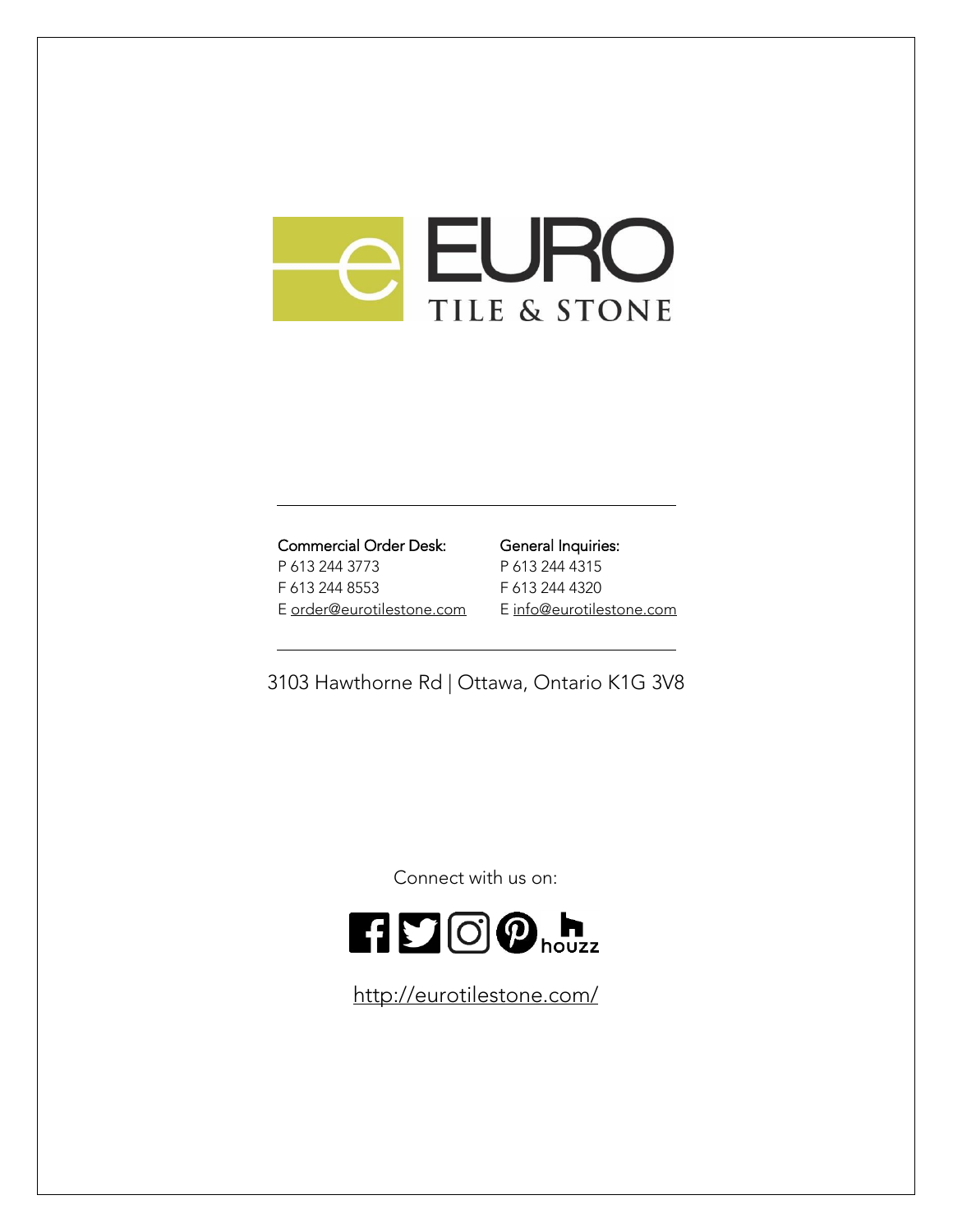# **e EURO** TILE & STONE

# Commercial Order Desk:

P 613 244 3773 F 613 244 8553 E [order@eurotilestone.com](mailto:order@eurotilestone.com)

### General Inquiries: P 613 244 4315 F 613 244 4320 [E info@eurotilestone.com](mailto:info@eurotilestone.com)

3103 Hawthorne Rd | Ottawa, Ontario K1G 3V8

Connect with us on:



<http://eurotilestone.com/>